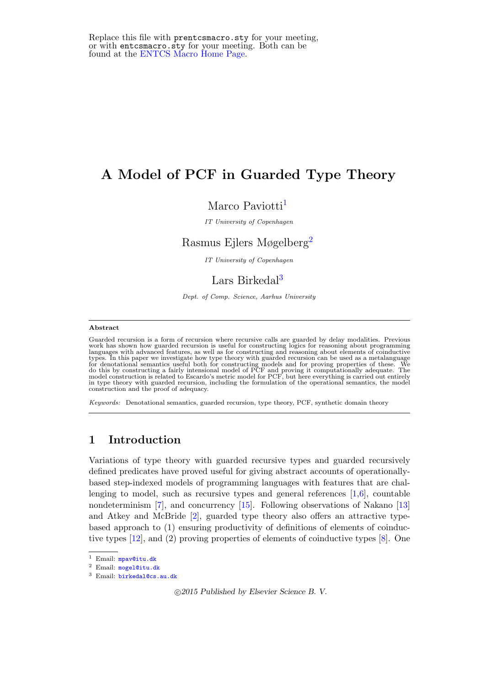# A Model of PCF in Guarded Type Theory

# Marco Paviotti<sup>[1](#page-0-0)</sup>

IT University of Copenhagen

# Rasmus Ejlers Møgelberg[2](#page-0-0)

IT University of Copenhagen

# Lars Birkedal<sup>[3](#page-0-0)</sup>

Dept. of Comp. Science, Aarhus University

#### <span id="page-0-0"></span>Abstract

Guarded recursion is a form of recursion where recursive calls are guarded by delay modalities. Previous work has shown how guarded recursion is useful for constructing logics for reasoning about programming languages with advanced features, as well as for constructing and reasoning about elements of coinductive<br>types. In this paper we investigate how type theory with guarded recursion can be used as a metalanguage<br>for denotat in type theory with guarded recursion, including the formulation of the operational semantics, the model construction and the proof of adequacy.

Keywords: Denotational semantics, guarded recursion, type theory, PCF, synthetic domain theory

### 1 Introduction

Variations of type theory with guarded recursive types and guarded recursively defined predicates have proved useful for giving abstract accounts of operationallybased step-indexed models of programming languages with features that are challenging to model, such as recursive types and general references  $[1,6]$  $[1,6]$ , countable nondeterminism [\[7\]](#page-15-2), and concurrency [\[15\]](#page-16-0). Following observations of Nakano [\[13\]](#page-16-1) and Atkey and McBride [\[2\]](#page-15-3), guarded type theory also offers an attractive typebased approach to (1) ensuring productivity of definitions of elements of coinductive types [\[12\]](#page-16-2), and (2) proving properties of elements of coinductive types [\[8\]](#page-15-4). One

c 2015 Published by Elsevier Science B. V.

<sup>&</sup>lt;sup>1</sup> Email: [mpav@itu.dk](mailto:mpav@itu.dk)

<sup>2</sup> Email: [mogel@itu.dk](mailto:mogel@itu.dk)

<sup>3</sup> Email: [birkedal@cs.au.dk](mailto:birkedal@cs.au.dk)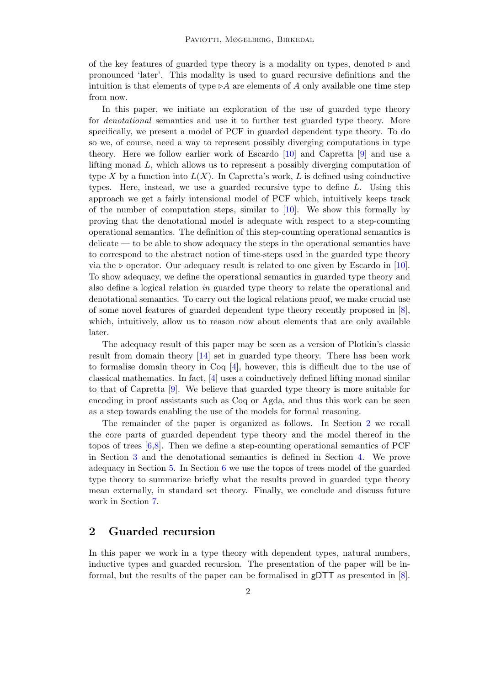of the key features of guarded type theory is a modality on types, denoted  $\triangleright$  and pronounced 'later'. This modality is used to guard recursive definitions and the intuition is that elements of type  $\triangleright A$  are elements of A only available one time step from now.

In this paper, we initiate an exploration of the use of guarded type theory for denotational semantics and use it to further test guarded type theory. More specifically, we present a model of PCF in guarded dependent type theory. To do so we, of course, need a way to represent possibly diverging computations in type theory. Here we follow earlier work of Escardo [\[10\]](#page-16-3) and Capretta [\[9\]](#page-16-4) and use a lifting monad L, which allows us to represent a possibly diverging computation of type X by a function into  $L(X)$ . In Capretta's work, L is defined using coinductive types. Here, instead, we use a guarded recursive type to define L. Using this approach we get a fairly intensional model of PCF which, intuitively keeps track of the number of computation steps, similar to  $[10]$ . We show this formally by proving that the denotational model is adequate with respect to a step-counting operational semantics. The definition of this step-counting operational semantics is delicate — to be able to show adequacy the steps in the operational semantics have to correspond to the abstract notion of time-steps used in the guarded type theory via the  $\triangleright$  operator. Our adequacy result is related to one given by Escardo in [\[10\]](#page-16-3). To show adequacy, we define the operational semantics in guarded type theory and also define a logical relation in guarded type theory to relate the operational and denotational semantics. To carry out the logical relations proof, we make crucial use of some novel features of guarded dependent type theory recently proposed in [\[8\]](#page-15-4), which, intuitively, allow us to reason now about elements that are only available later.

The adequacy result of this paper may be seen as a version of Plotkin's classic result from domain theory [\[14\]](#page-16-5) set in guarded type theory. There has been work to formalise domain theory in Coq  $[4]$ , however, this is difficult due to the use of classical mathematics. In fact, [\[4\]](#page-15-5) uses a coinductively defined lifting monad similar to that of Capretta [\[9\]](#page-16-4). We believe that guarded type theory is more suitable for encoding in proof assistants such as Coq or Agda, and thus this work can be seen as a step towards enabling the use of the models for formal reasoning.

The remainder of the paper is organized as follows. In Section [2](#page-1-0) we recall the core parts of guarded dependent type theory and the model thereof in the topos of trees  $[6,8]$  $[6,8]$ . Then we define a step-counting operational semantics of PCF in Section [3](#page-3-0) and the denotational semantics is defined in Section [4.](#page-6-0) We prove adequacy in Section [5.](#page-9-0) In Section [6](#page-13-0) we use the topos of trees model of the guarded type theory to summarize briefly what the results proved in guarded type theory mean externally, in standard set theory. Finally, we conclude and discuss future work in Section [7.](#page-14-0)

# <span id="page-1-0"></span>2 Guarded recursion

In this paper we work in a type theory with dependent types, natural numbers, inductive types and guarded recursion. The presentation of the paper will be informal, but the results of the paper can be formalised in gDTT as presented in [\[8\]](#page-15-4).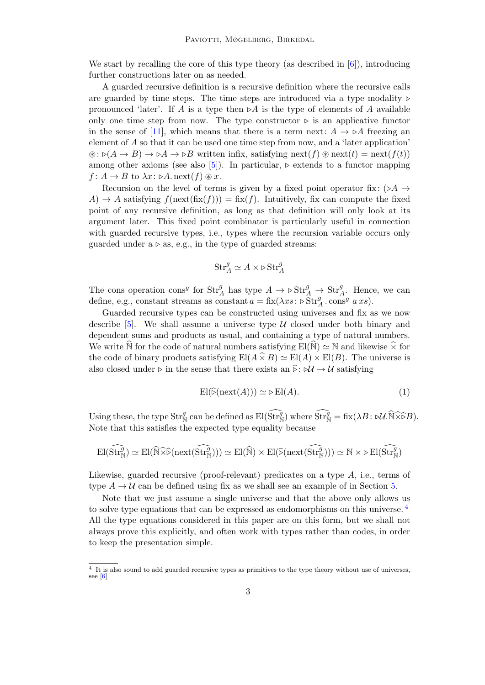We start by recalling the core of this type theory (as described in  $[6]$ ), introducing further constructions later on as needed.

A guarded recursive definition is a recursive definition where the recursive calls are guarded by time steps. The time steps are introduced via a type modality  $\triangleright$ pronounced 'later'. If A is a type then  $\triangleright A$  is the type of elements of A available only one time step from now. The type constructor  $\triangleright$  is an applicative functor in the sense of [\[11\]](#page-16-6), which means that there is a term next:  $A \rightarrow \triangleright A$  freezing an element of  $A$  so that it can be used one time step from now, and a 'later application'  $\mathcal{L}: \mathcal{D}(A \to B) \to \mathcal{D}A \to \mathcal{D}B$  written infix, satisfying next(f)  $\mathcal{D}$  next(t) = next(f(t)) among other axioms (see also [\[5\]](#page-15-6)). In particular,  $\triangleright$  extends to a functor mapping  $f: A \to B$  to  $\lambda x: \triangleright A$ . next $(f) \circledast x$ .

Recursion on the level of terms is given by a fixed point operator fix: ( $\triangleright A \rightarrow$ A)  $\rightarrow$  A satisfying  $f(\operatorname{next}(\operatorname{fix}(f))) = \operatorname{fix}(f)$ . Intuitively, fix can compute the fixed point of any recursive definition, as long as that definition will only look at its argument later. This fixed point combinator is particularly useful in connection with guarded recursive types, i.e., types where the recursion variable occurs only guarded under  $a \triangleright as$ , e.g., in the type of guarded streams:

$$
\mathrm{Str}_A^g\simeq A\times \triangleright \mathrm{Str}_A^g
$$

The cons operation cons<sup>g</sup> for  $\text{Str}_A^g$  has type  $A \to \triangleright \text{Str}_A^g \to \text{Str}_A^g$ . Hence, we can define, e.g., constant streams as constant  $a = \text{fix}(\lambda xs : \triangleright \text{Str}^g_A \cdot \text{cons}^g \ a\ xs).$ 

Guarded recursive types can be constructed using universes and fix as we now describe [\[5\]](#page-15-6). We shall assume a universe type  $\mathcal U$  closed under both binary and dependent sums and products as usual, and containing a type of natural numbers. We write N for the code of natural numbers satisfying  $El(N) \simeq N$  and likewise  $\widetilde{\times}$  for the code of binary products satisfying  $\text{El}(A \times B) \simeq \text{El}(A) \times \text{El}(B)$ . The universe is also closed under  $\triangleright$  in the sense that there exists an  $\widehat{\triangleright}$ :  $\triangleright \mathcal{U} \rightarrow \mathcal{U}$  satisfying

<span id="page-2-1"></span>
$$
\mathrm{El}(\widehat{\triangleright}(\mathrm{next}(A))) \simeq \triangleright \mathrm{El}(A). \tag{1}
$$

Using these, the type  $\text{Str}^g_{\mathbb{N}}$  can be defined as  $\text{El}(\widehat{\text{Str}}^g_{\mathbb{N}})$  where  $\widehat{\text{Str}}^g_{\mathbb{N}} = \text{fix}(\lambda B : \forall U \cdot \widehat{\mathbb{N}} \widehat{\times} \widehat{\epsilon}B)$ . Note that this satisfies the expected type equality because

$$
\mathrm{El}(\widehat{\mathrm{Str}}_{{\mathbb N}}^g)\simeq \mathrm{El}(\widehat{{\mathbb N}}\widehat{\times}\widehat{\triangleright}(\mathrm{next}(\widehat{\mathrm{Str}}_{{\mathbb N}}^g)))\simeq \mathrm{El}(\widehat{{\mathbb N}})\times \mathrm{El}(\widehat{\triangleright}(\mathrm{next}(\widehat{\mathrm{Str}}_{{\mathbb N}}^g)))\simeq {\mathbb N}\times \triangleright \mathrm{El}(\widehat{\mathrm{Str}}_{{\mathbb N}}^g)
$$

Likewise, guarded recursive (proof-relevant) predicates on a type A, i.e., terms of type  $A \to U$  can be defined using fix as we shall see an example of in Section [5.](#page-9-0)

Note that we just assume a single universe and that the above only allows us to solve type equations that can be expressed as endomorphisms on this universe. [4](#page-2-0) All the type equations considered in this paper are on this form, but we shall not always prove this explicitly, and often work with types rather than codes, in order to keep the presentation simple.

<span id="page-2-0"></span><sup>4</sup> It is also sound to add guarded recursive types as primitives to the type theory without use of universes, see [\[6\]](#page-15-1)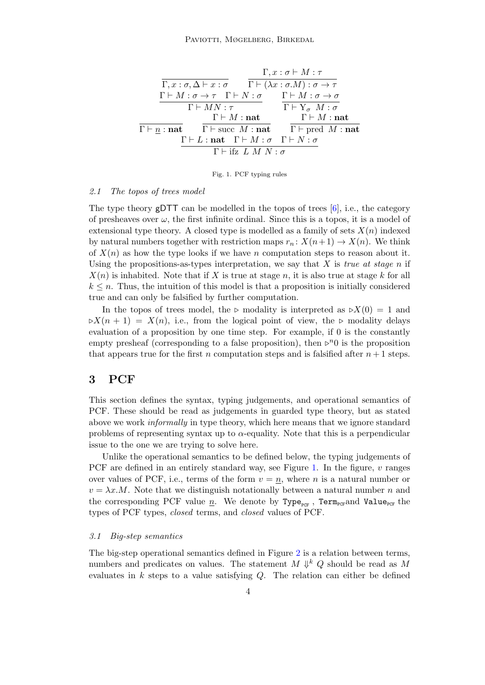<span id="page-3-1"></span>

|                                                                                                                                    | $\Gamma, x : \sigma \vdash M : \tau$  |
|------------------------------------------------------------------------------------------------------------------------------------|---------------------------------------|
| $\Gamma, x : \sigma, \Delta \vdash x : \sigma$ $\Gamma \vdash (\lambda x : \sigma.M) : \sigma \rightarrow \tau$                    |                                       |
| $\Gamma \vdash M : \sigma \to \tau \quad \Gamma \vdash N : \sigma \qquad \Gamma \vdash M : \sigma \to \sigma$                      |                                       |
| $\Gamma \vdash MN : \tau$                                                                                                          | $\Gamma \vdash Y_{\sigma} M : \sigma$ |
| $\Gamma \vdash M : \mathbf{nat}$                                                                                                   | $\Gamma \vdash M : \textbf{nat}$      |
| $\Gamma \vdash n : \textbf{nat}$ $\Gamma \vdash \textbf{succ} \ M : \textbf{nat}$ $\Gamma \vdash \textbf{pred} \ M : \textbf{nat}$ |                                       |
| $\Gamma \vdash L : \textbf{nat} \quad \Gamma \vdash M : \sigma \quad \Gamma \vdash N : \sigma$                                     |                                       |
| $\Gamma$ + ifz L M N $:\sigma$                                                                                                     |                                       |

Fig. 1. PCF typing rules

#### <span id="page-3-2"></span>2.1 The topos of trees model

The type theory gDTT can be modelled in the topos of trees [\[6\]](#page-15-1), i.e., the category of presheaves over  $\omega$ , the first infinite ordinal. Since this is a topos, it is a model of extensional type theory. A closed type is modelled as a family of sets  $X(n)$  indexed by natural numbers together with restriction maps  $r_n: X(n+1) \to X(n)$ . We think of  $X(n)$  as how the type looks if we have n computation steps to reason about it. Using the propositions-as-types interpretation, we say that X is true at stage n if  $X(n)$  is inhabited. Note that if X is true at stage n, it is also true at stage k for all  $k \leq n$ . Thus, the intuition of this model is that a proposition is initially considered true and can only be falsified by further computation.

In the topos of trees model, the  $\triangleright$  modality is interpreted as  $\triangleright X(0) = 1$  and  $\triangleright X(n + 1) = X(n)$ , i.e., from the logical point of view, the  $\triangleright$  modality delays evaluation of a proposition by one time step. For example, if 0 is the constantly empty presheaf (corresponding to a false proposition), then  $\triangleright^n$  is the proposition that appears true for the first n computation steps and is falsified after  $n+1$  steps.

### <span id="page-3-0"></span>3 PCF

This section defines the syntax, typing judgements, and operational semantics of PCF. These should be read as judgements in guarded type theory, but as stated above we work informally in type theory, which here means that we ignore standard problems of representing syntax up to  $\alpha$ -equality. Note that this is a perpendicular issue to the one we are trying to solve here.

Unlike the operational semantics to be defined below, the typing judgements of PCF are defined in an entirely standard way, see Figure [1.](#page-3-1) In the figure,  $v$  ranges over values of PCF, i.e., terms of the form  $v = n$ , where n is a natural number or  $v = \lambda x.M$ . Note that we distinguish notationally between a natural number n and the corresponding PCF value  $\underline{n}$ . We denote by Type<sub>PCF</sub>, Term<sub>PCF</sub>and Value<sub>PCF</sub> the types of PCF types, closed terms, and closed values of PCF.

### 3.1 Big-step semantics

The big-step operational semantics defined in Figure [2](#page-4-0) is a relation between terms, numbers and predicates on values. The statement  $M \Downarrow^k Q$  should be read as M evaluates in  $k$  steps to a value satisfying  $Q$ . The relation can either be defined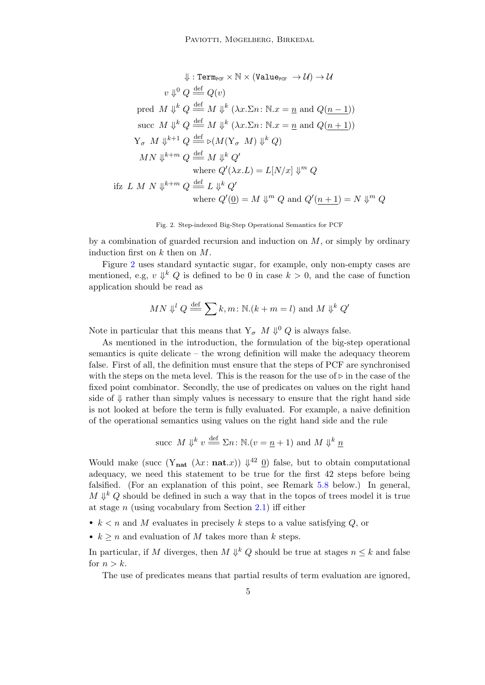<span id="page-4-0"></span>
$$
\Downarrow : \text{Term}_{\text{PCF}} \times \mathbb{N} \times (\text{Value}_{\text{PCF}} \to \mathcal{U}) \to \mathcal{U}
$$
\n
$$
v \Downarrow^0 Q \stackrel{\text{def}}{=} Q(v)
$$
\npred  $M \Downarrow^k Q \stackrel{\text{def}}{=} M \Downarrow^k (\lambda x. \Sigma n: \mathbb{N}.x = \underline{n} \text{ and } Q(\underline{n-1}))$ \nsucc  $M \Downarrow^k Q \stackrel{\text{def}}{=} M \Downarrow^k (\lambda x. \Sigma n: \mathbb{N}.x = \underline{n} \text{ and } Q(\underline{n+1}))$ \n
$$
Y_{\sigma} M \Downarrow^{k+1} Q \stackrel{\text{def}}{=} \triangleright (M(Y_{\sigma} M) \Downarrow^k Q)
$$
\n
$$
MN \Downarrow^{k+m} Q \stackrel{\text{def}}{=} M \Downarrow^k Q'
$$
\nwhere  $Q'(\lambda x. L) = L[N/x] \Downarrow^m Q$ \nifz  $L M N \Downarrow^{k+m} Q \stackrel{\text{def}}{=} L \Downarrow^k Q'$   
\nwhere  $Q'(\underline{0}) = M \Downarrow^m Q$  and  $Q'(\underline{n+1}) = N \Downarrow^m Q$ 

Fig. 2. Step-indexed Big-Step Operational Semantics for PCF

by a combination of guarded recursion and induction on  $M$ , or simply by ordinary induction first on  $k$  then on  $M$ .

Figure [2](#page-4-0) uses standard syntactic sugar, for example, only non-empty cases are mentioned, e.g,  $v \downarrow^k Q$  is defined to be 0 in case  $k > 0$ , and the case of function application should be read as

$$
MN \Downarrow^{l} Q \stackrel{\text{def}}{=\!\!=} \sum k, m \colon \mathbb{N}.(k+m=l) \text{ and } M \Downarrow^{k} Q'
$$

Note in particular that this means that  $Y_{\sigma}$   $M \Downarrow^0 Q$  is always false.

As mentioned in the introduction, the formulation of the big-step operational semantics is quite delicate – the wrong definition will make the adequacy theorem false. First of all, the definition must ensure that the steps of PCF are synchronised with the steps on the meta level. This is the reason for the use of  $\triangleright$  in the case of the fixed point combinator. Secondly, the use of predicates on values on the right hand side of  $\downarrow$  rather than simply values is necessary to ensure that the right hand side is not looked at before the term is fully evaluated. For example, a naive definition of the operational semantics using values on the right hand side and the rule

succ M 
$$
\Downarrow
$$
 <sup>k</sup>  $v \stackrel{\text{def}}{=} \Sigma n : \mathbb{N}.(v = \underline{n} + 1)$  and M  $\Downarrow$  <sup>k</sup>  $\underline{n}$ 

Would make (succ  $(Y_{nat} (\lambda x : nat.x)) \Downarrow^{42} 0$ ) false, but to obtain computational adequacy, we need this statement to be true for the first 42 steps before being falsified. (For an explanation of this point, see Remark [5.8](#page-13-1) below.) In general,  $M \Downarrow k Q$  should be defined in such a way that in the topos of trees model it is true at stage  $n$  (using vocabulary from Section [2.1\)](#page-3-2) iff either

- $k < n$  and M evaluates in precisely k steps to a value satisfying Q, or
- $k \geq n$  and evaluation of M takes more than k steps.

In particular, if M diverges, then  $M \Downarrow^k Q$  should be true at stages  $n \leq k$  and false for  $n > k$ .

The use of predicates means that partial results of term evaluation are ignored,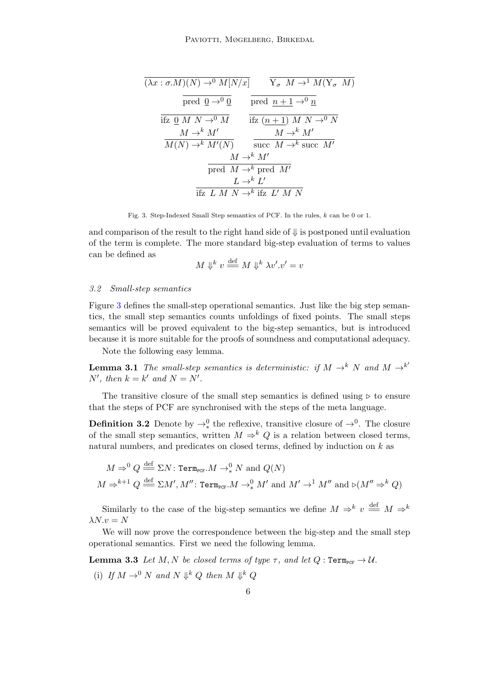<span id="page-5-0"></span>
$$
\frac{(\lambda x : \sigma.M)(N) \to^0 M[N/x]}{\text{pred } \underline{0} \to^0 \underline{0}} \qquad \frac{\overline{Y_{\sigma} M} \to^1 M(\overline{Y_{\sigma} M})}{\text{pred } \underline{0} \to^0 \underline{0}} \n\frac{\overline{Y_{\sigma} M} \to^1 M}{\text{ifz } \underline{(n+1) M N} \to^0 N} \n\frac{M \to^k M'}{M(N) \to^k M'(N)} \qquad \frac{M \to^k M'}{\text{succ } M \to^k \text{succ } M' } \n\frac{M \to^k M'}{\text{pred } M \to^k \text{pred } M' } \n\frac{L \to^k L'}{\text{ifz } L M N \to^k \text{ifz } L' M N}
$$

Fig. 3. Step-Indexed Small Step semantics of PCF. In the rules, k can be 0 or 1.

and comparison of the result to the right hand side of  $\Downarrow$  is postponed until evaluation of the term is complete. The more standard big-step evaluation of terms to values can be defined as

$$
M \Downarrow^k v \stackrel{\text{def}}{=} M \Downarrow^k \lambda v'.v' = v
$$

### 3.2 Small-step semantics

Figure [3](#page-5-0) defines the small-step operational semantics. Just like the big step semantics, the small step semantics counts unfoldings of fixed points. The small steps semantics will be proved equivalent to the big-step semantics, but is introduced because it is more suitable for the proofs of soundness and computational adequacy.

Note the following easy lemma.

<span id="page-5-2"></span>**Lemma 3.1** The small-step semantics is deterministic: if  $M \rightarrow^{k} N$  and  $M \rightarrow^{k'} N$ N', then  $k = k'$  and  $N = N'$ .

The transitive closure of the small step semantics is defined using  $\triangleright$  to ensure that the steps of PCF are synchronised with the steps of the meta language.

**Definition 3.2** Denote by  $\rightarrow_*^0$  the reflexive, transitive closure of  $\rightarrow^0$ . The closure of the small step semantics, written  $M \Rightarrow^k Q$  is a relation between closed terms, natural numbers, and predicates on closed terms, defined by induction on  $k$  as

$$
M \Rightarrow^0 Q \stackrel{\text{def}}{=} \Sigma N : \text{Term}_{\text{PCF}}. M \to^0_* N \text{ and } Q(N)
$$
  

$$
M \Rightarrow^{k+1} Q \stackrel{\text{def}}{=} \Sigma M', M'' : \text{Term}_{\text{PCF}}. M \to^0_* M' \text{ and } M' \to^1 M'' \text{ and } \triangleright (M'' \Rightarrow^k Q)
$$

Similarly to the case of the big-step semantics we define  $M \Rightarrow^k v \stackrel{\text{def}}{=} M \Rightarrow^k v$  $\lambda N.v = N$ 

We will now prove the correspondence between the big-step and the small step operational semantics. First we need the following lemma.

<span id="page-5-1"></span>**Lemma 3.3** Let M, N be closed terms of type  $\tau$ , and let  $Q: \text{Term}_{\text{PCF}} \to \mathcal{U}$ . (i) If  $M \to^0 N$  and  $N \Downarrow^k Q$  then  $M \Downarrow^k Q$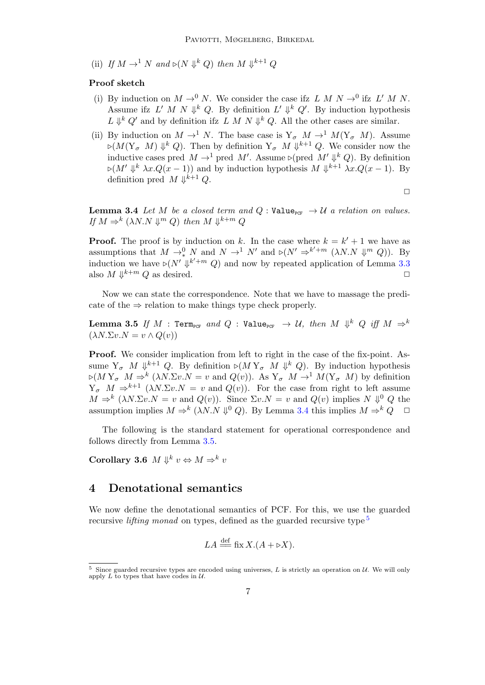(ii) If  $M \to$ <sup>1</sup> N and  $\triangleright (N \Downarrow^k Q)$  then  $M \Downarrow^{k+1} Q$ 

### Proof sketch

- (i) By induction on  $M \to^0 N$ . We consider the case if  $L M N \to^0 0$  if  $L' M N$ . Assume ifz L' M N  $\Downarrow^k Q$ . By definition L'  $\Downarrow^k Q'$ . By induction hypothesis  $L \Downarrow^k Q'$  and by definition if  $L M N \Downarrow^k Q$ . All the other cases are similar.
- (ii) By induction on  $M \to^1 N$ . The base case is  $Y_{\sigma} M \to^1 M(Y_{\sigma} M)$ . Assume  $\varphi(M(Y_\sigma M) \Downarrow^k Q)$ . Then by definition  $Y_\sigma M \Downarrow^{k+1} Q$ . We consider now the inductive cases pred  $M \to^1$  pred M'. Assume  $\triangleright$  (pred  $M' \Downarrow^k Q$ ). By definition  $\triangleright (M' \Downarrow^k \lambda x. Q(x-1))$  and by induction hypothesis  $M \Downarrow^{k+1} \lambda x. Q(x-1)$ . By definition pred  $M \Downarrow^{k+1} Q$ .

 $\Box$ 

<span id="page-6-1"></span>**Lemma 3.4** Let M be a closed term and  $Q$ : Value<sub>PCF</sub>  $\rightarrow U$  a relation on values. If  $M \Rightarrow^k ( \lambda N.N \Downarrow^m Q)$  then  $M \Downarrow^{k+m} Q$ 

**Proof.** The proof is by induction on k. In the case where  $k = k' + 1$  we have as assumptions that  $M \to_{*}^0 N$  and  $N \to_{*}^1 N'$  and  $\triangleright (N' \Rightarrow^{k'+m} (\lambda N.N \Downarrow^m Q))$ . By induction we have  $\triangleright (N' \Downarrow^{k'+m} Q)$  and now by repeated application of Lemma [3.3](#page-5-1) also  $M \Downarrow^{k+m} Q$  as desired.

Now we can state the correspondence. Note that we have to massage the predicate of the  $\Rightarrow$  relation to make things type check properly.

<span id="page-6-2"></span> $\textbf{Lemma 3.5} \ \emph{If} \ \emph{M} \ : \ \texttt{Term}_{\texttt{PCF}} \ \emph{and} \ \emph{Q} \ : \ \texttt{Value}_{\texttt{PCF}} \ \ \rightarrow \ \emph{U}, \ \emph{then} \ \emph{M} \ \Downarrow^k \ \emph{Q} \ \emph{iff} \ \emph{M} \ \Rightarrow^k$  $(\lambda N.\Sigma v.N = v \wedge Q(v))$ 

Proof. We consider implication from left to right in the case of the fix-point. Assume  $Y_{\sigma}$  M  $\Downarrow^{k+1} Q$ . By definition  $\rhd (M Y_{\sigma} M \Downarrow^{k} Q)$ . By induction hypothesis  $\varphi(M Y_{\sigma} M \Rightarrow^{k} (\lambda N \Sigma v.N = v \text{ and } Q(v)).$  As  $Y_{\sigma} M \to^{1} M(Y_{\sigma} M)$  by definition  $Y_{\sigma}$   $M \Rightarrow^{k+1} (\lambda N.\Sigma v.N = v$  and  $Q(v)$ ). For the case from right to left assume  $M \Rightarrow^k ( \lambda N . \Sigma v . N = v \text{ and } Q(v) ).$  Since  $\Sigma v . N = v \text{ and } Q(v)$  implies  $N \Downarrow^0 Q$  the assumption implies  $M \Rightarrow^k (\lambda N.N \Downarrow^0 Q)$ . By Lemma [3.4](#page-6-1) this implies  $M \Rightarrow^k Q \square$ 

The following is the standard statement for operational correspondence and follows directly from Lemma [3.5.](#page-6-2)

<span id="page-6-4"></span>Corollary 3.6  $M \Downarrow^k v \Leftrightarrow M \Rightarrow^k v$ 

### <span id="page-6-0"></span>4 Denotational semantics

We now define the denotational semantics of PCF. For this, we use the guarded recursive *lifting monad* on types, defined as the guarded recursive type  $5$ 

$$
LA \stackrel{\text{def}}{=\!\!=} \text{fix } X.(A + \triangleright X).
$$

<span id="page-6-3"></span> $5$  Since guarded recursive types are encoded using universes, L is strictly an operation on U. We will only apply  $L$  to types that have codes in  $U$ .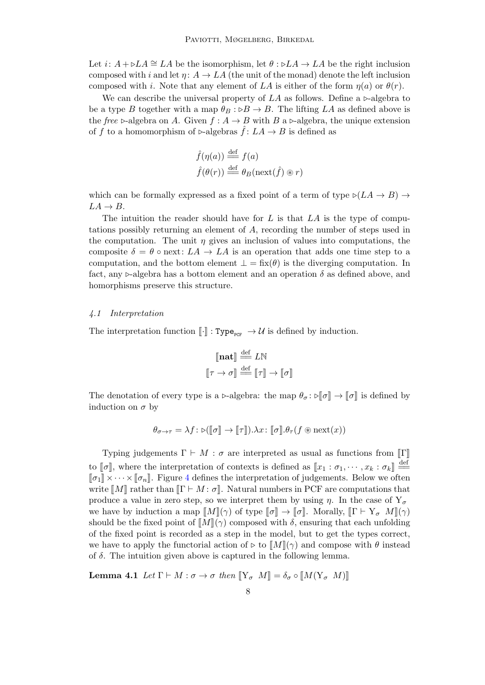Let  $i: A + \triangleright LA \cong LA$  be the isomorphism, let  $\theta : \triangleright LA \to LA$  be the right inclusion composed with i and let  $\eta: A \to LA$  (the unit of the monad) denote the left inclusion composed with i. Note that any element of LA is either of the form  $\eta(a)$  or  $\theta(r)$ .

We can describe the universal property of  $LA$  as follows. Define a  $\triangleright$ -algebra to be a type B together with a map  $\theta_B : B \to B$ . The lifting LA as defined above is the free  $\triangleright$ -algebra on A. Given  $f : A \to B$  with B a  $\triangleright$ -algebra, the unique extension of f to a homomorphism of  $\triangleright$ -algebras  $\hat{f} : LA \to B$  is defined as

$$
\hat{f}(\eta(a)) \stackrel{\text{def}}{=} f(a)
$$

$$
\hat{f}(\theta(r)) \stackrel{\text{def}}{=} \theta_B(\text{next}(\hat{f}) \circledast r)
$$

which can be formally expressed as a fixed point of a term of type  $\triangleright (LA \rightarrow B) \rightarrow$  $LA \rightarrow B$ .

The intuition the reader should have for  $L$  is that  $LA$  is the type of computations possibly returning an element of A, recording the number of steps used in the computation. The unit  $\eta$  gives an inclusion of values into computations, the composite  $\delta = \theta \circ$  next:  $LA \rightarrow LA$  is an operation that adds one time step to a computation, and the bottom element  $\bot = \operatorname{fix}(\theta)$  is the diverging computation. In fact, any  $\triangleright$ -algebra has a bottom element and an operation  $\delta$  as defined above, and homorphisms preserve this structure.

#### 4.1 Interpretation

The interpretation function  $\llbracket \cdot \rrbracket : Type_{_{PCF}} \to \mathcal{U}$  is defined by induction.

$$
\begin{aligned}\n\llbracket \mathbf{n} \mathbf{a} \mathbf{t} \rrbracket & \stackrel{\text{def}}{=} L\mathbb{N} \\
\llbracket \tau \to \sigma \rrbracket & \stackrel{\text{def}}{=} \llbracket \tau \rrbracket \to \llbracket \sigma \rrbracket\n\end{aligned}
$$

The denotation of every type is a  $\triangleright$ -algebra: the map  $\theta_{\sigma} : \triangleright \llbracket \sigma \rrbracket \to \llbracket \sigma \rrbracket$  is defined by induction on  $\sigma$  by

$$
\theta_{\sigma \to \tau} = \lambda f \colon \text{D}(\llbracket \sigma \rrbracket \to \llbracket \tau \rrbracket). \lambda x \colon \llbracket \sigma \rrbracket. \theta_\tau(f \circledast \text{next}(x))
$$

Typing judgements  $\Gamma \vdash M : \sigma$  are interpreted as usual as functions from  $\llbracket \Gamma \rrbracket$ to  $[\![\sigma]\!]$ , where the interpretation of contexts is defined as  $[\![x_1 : \sigma_1, \cdots, x_k : \sigma_k]\!] \stackrel{\text{def}}{=}$ <br> $[\![\sigma]\!] \times \times [\![\sigma]\!]$ . Figure 4 defines the interpretation of independent Below we often  $\llbracket \sigma_1 \rrbracket \times \cdots \times \llbracket \sigma_n \rrbracket$ . Figure [4](#page-8-0) defines the interpretation of judgements. Below we often write  $\llbracket M \rrbracket$  rather than  $\llbracket \Gamma \vdash M : \sigma \rrbracket$ . Natural numbers in PCF are computations that produce a value in zero step, so we interpret them by using  $\eta$ . In the case of  $Y_{\sigma}$ we have by induction a map  $\llbracket M \rrbracket(\gamma)$  of type  $\llbracket \sigma \rrbracket \to \llbracket \sigma \rrbracket$ . Morally,  $\llbracket \Gamma \vdash Y_{\sigma} M \rrbracket(\gamma)$ should be the fixed point of  $\llbracket M \rrbracket(\gamma)$  composed with  $\delta$ , ensuring that each unfolding of the fixed point is recorded as a step in the model, but to get the types correct, we have to apply the functorial action of  $\triangleright$  to  $\|M\|(\gamma)$  and compose with  $\theta$  instead of  $\delta$ . The intuition given above is captured in the following lemma.

<span id="page-7-0"></span>**Lemma 4.1** Let  $\Gamma \vdash M : \sigma \to \sigma$  then  $\llbracket Y_{\sigma} M \rrbracket = \delta_{\sigma} \circ \llbracket M(Y_{\sigma} M) \rrbracket$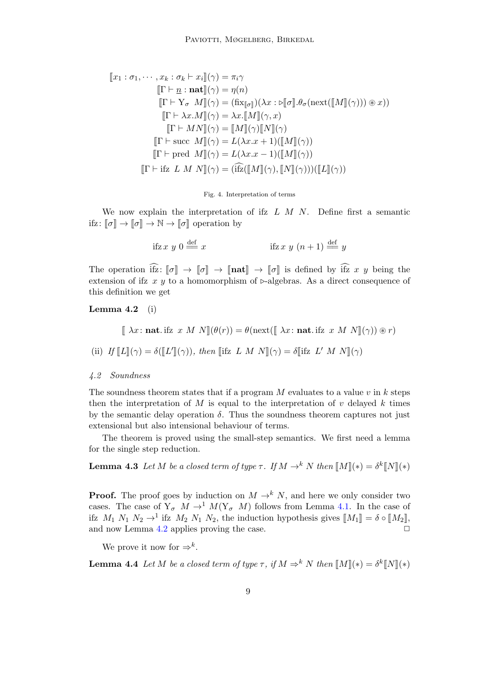<span id="page-8-0"></span>
$$
\llbracket x_1 : \sigma_1, \cdots, x_k : \sigma_k \vdash x_i \rrbracket(\gamma) = \pi_i \gamma
$$
  
\n
$$
\llbracket \Gamma \vdash \underline{n} : \mathbf{nat} \rrbracket(\gamma) = \eta(n)
$$
  
\n
$$
\llbracket \Gamma \vdash Y_{\sigma} M \rrbracket(\gamma) = (\text{fix}_{\llbracket \sigma \rrbracket})(\lambda x : \triangleright \llbracket \sigma \rrbracket \cdot \theta_{\sigma}(\text{next}(\llbracket M \rrbracket(\gamma))) \circledast x))
$$
  
\n
$$
\llbracket \Gamma \vdash \lambda x. M \rrbracket(\gamma) = \lambda x. \llbracket M \rrbracket(\gamma, x)
$$
  
\n
$$
\llbracket \Gamma \vdash M N \rrbracket(\gamma) = \llbracket M \rrbracket(\gamma) \llbracket N \rrbracket(\gamma)
$$
  
\n
$$
\llbracket \Gamma \vdash \text{succ } M \rrbracket(\gamma) = L(\lambda x. x + 1)(\llbracket M \rrbracket(\gamma))
$$
  
\n
$$
\llbracket \Gamma \vdash \text{pred } M \rrbracket(\gamma) = L(\lambda x. x - 1)(\llbracket M \rrbracket(\gamma))
$$
  
\n
$$
\llbracket \Gamma \vdash \text{ifz } L M N \rrbracket(\gamma) = (\text{ifz}(\llbracket M \rrbracket(\gamma), \llbracket N \rrbracket(\gamma)))(\llbracket L \rrbracket(\gamma))
$$

#### Fig. 4. Interpretation of terms

We now explain the interpretation of ifz  $L M N$ . Define first a semantic ifz:  $\llbracket \sigma \rrbracket \to \llbracket \sigma \rrbracket \to \mathbb{N} \to \llbracket \sigma \rrbracket$  operation by

ifiz 
$$
x y 0 \stackrel{\text{def}}{=} x
$$
 ifiz  $x y (n+1) \stackrel{\text{def}}{=} y$ 

The operation if  $\widehat{x}: [\![\sigma]\!] \to [\![\sigma]\!] \to [\![\mathbf{nat}]\!] \to [\![\sigma]\!]$  is defined by if  $\widehat{x}$  x y being the extension of ifz x y to a homomorphism of  $\triangleright$ -algebras. As a direct consequence of this definition we get

<span id="page-8-1"></span>Lemma  $4.2$  (i)

$$
[\![ \lambda x \colon \mathbf{nat}.\mathsf{ifz}\ x \ M \ N ]\!](\theta(r)) = \theta(\mathrm{next}([\![ \lambda x \colon \mathbf{nat}.\mathsf{ifz}\ x \ M \ N ]\!](\gamma)) \circledast r)
$$

(ii) If 
$$
\llbracket L \rrbracket(\gamma) = \delta(\llbracket L' \rrbracket(\gamma))
$$
, then  $\llbracket$  ifz  $L M N \rrbracket(\gamma) = \delta \llbracket$  ifz  $L' M N \rrbracket(\gamma)$ 

### 4.2 Soundness

The soundness theorem states that if a program M evaluates to a value  $v$  in  $k$  steps then the interpretation of M is equal to the interpretation of  $v$  delayed  $k$  times by the semantic delay operation  $\delta$ . Thus the soundness theorem captures not just extensional but also intensional behaviour of terms.

The theorem is proved using the small-step semantics. We first need a lemma for the single step reduction.

<span id="page-8-2"></span>**Lemma 4.3** Let M be a closed term of type  $\tau$ . If  $M \to^k N$  then  $\llbracket M \rrbracket(*) = \delta^k \llbracket N \rrbracket(*)$ 

**Proof.** The proof goes by induction on  $M \rightarrow^k N$ , and here we only consider two cases. The case of  $Y_{\sigma}$   $M \rightarrow$ <sup>1</sup>  $M(Y_{\sigma}$   $M)$  follows from Lemma [4.1.](#page-7-0) In the case of ifz  $M_1$   $N_1$   $N_2 \rightarrow 1$  ifz  $M_2$   $N_1$   $N_2$ , the induction hypothesis gives  $\llbracket M_1 \rrbracket = \delta \circ \llbracket M_2 \rrbracket$ , and now Lemma [4.2](#page-8-1) applies proving the case.  $\Box$ 

We prove it now for  $\Rightarrow^k$ .

**Lemma 4.4** Let M be a closed term of type  $\tau$ , if  $M \Rightarrow^k N$  then  $\llbracket M \rrbracket(*) = \delta^k \llbracket N \rrbracket(*)$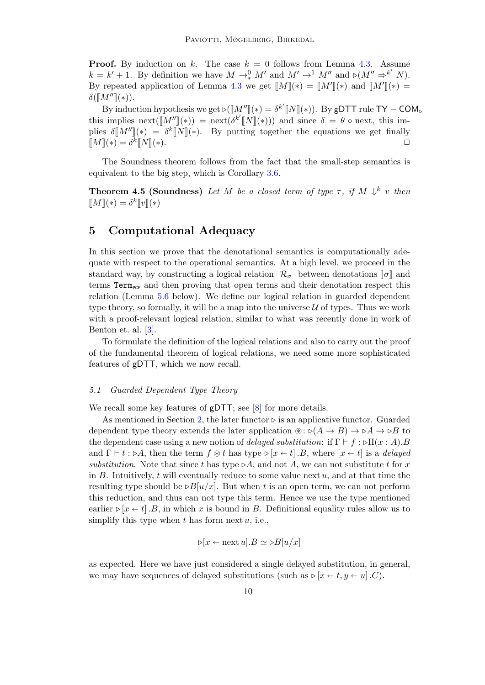**Proof.** By induction on k. The case  $k = 0$  follows from Lemma [4.3.](#page-8-2) Assume  $k = k' + 1$ . By definition we have  $M \to_{*}^0 M'$  and  $M' \to_{*}^1 M''$  and  $\triangleright (M'' \to_{*}^{k'} N)$ . By repeated application of Lemma [4.3](#page-8-2) we get  $\llbracket M \rrbracket(*) = \llbracket M' \rrbracket(*)$  and  $\llbracket M'' \rrbracket(*) = \frac{\delta(\llbracket M'' \rrbracket(\cdot))}{\delta(\llbracket M'' \rrbracket(\cdot))}$  $\delta(\llbracket M'' \rrbracket(\ast)).$ 

By induction hypothesis we get  $\phi([M'']](*) = \delta^{k'}[N](*)$ . By gDTT rule TY – COM<sub>b</sub><br>implies next( $\delta^{l''}\llbracket N''\rrbracket(\cdot,\cdot)$ ), and gines  $\delta = \theta$  a pert, this implies this implies  $\operatorname{next}(\llbracket M'' \rrbracket(*) = \operatorname{next}(\delta^{k'} \llbracket N \rrbracket(*)))$  and since  $\delta = \theta$  ∘ next, this implies  $\delta[\![M'']\!] (*) = \delta^k[\![N]\!] (*)$ . By putting together the equations we get finally  $\llbracket M \rrbracket(*) = \delta^k$  $\llbracket N \rrbracket(*)$ .

The Soundness theorem follows from the fact that the small-step semantics is equivalent to the big step, which is Corollary [3.6.](#page-6-4)

<span id="page-9-1"></span>**Theorem 4.5 (Soundness)** Let M be a closed term of type  $\tau$ , if M  $\Downarrow^k$  v then  $\llbracket M \rrbracket (*) = \delta^k \llbracket v \rrbracket (*)$ 

### <span id="page-9-0"></span>5 Computational Adequacy

In this section we prove that the denotational semantics is computationally adequate with respect to the operational semantics. At a high level, we proceed in the standard way, by constructing a logical relation  $\mathcal{R}_{\sigma}$  between denotations  $\llbracket \sigma \rrbracket$  and terms  $Term_{PCF}$  and then proving that open terms and their denotation respect this relation (Lemma [5.6](#page-12-0) below). We define our logical relation in guarded dependent type theory, so formally, it will be a map into the universe  $U$  of types. Thus we work with a proof-relevant logical relation, similar to what was recently done in work of Benton et. al. [\[3\]](#page-15-7).

To formulate the definition of the logical relations and also to carry out the proof of the fundamental theorem of logical relations, we need some more sophisticated features of gDTT, which we now recall.

### 5.1 Guarded Dependent Type Theory

We recall some key features of gDTT; see [\[8\]](#page-15-4) for more details.

As mentioned in Section [2,](#page-1-0) the later functor  $\triangleright$  is an applicative functor. Guarded dependent type theory extends the later application  $\mathcal{L}(A \rightarrow B) \rightarrow \mathcal{L}(A \rightarrow B)$  to the dependent case using a new notion of delayed substitution: if  $\Gamma \vdash f : \triangleright \Pi(x : A)$ . and  $\Gamma \vdash t : \triangleright A$ , then the term  $f \circledast t$  has type  $\triangleright [x \leftarrow t]$ . B, where  $[x \leftarrow t]$  is a *delayed* substitution. Note that since t has type  $\triangleright A$ , and not A, we can not substitute t for x in  $B$ . Intuitively,  $t$  will eventually reduce to some value next  $u$ , and at that time the resulting type should be  $\triangleright B[u/x]$ . But when t is an open term, we can not perform this reduction, and thus can not type this term. Hence we use the type mentioned earlier  $\triangleright [x \leftarrow t]$ . B, in which x is bound in B. Definitional equality rules allow us to simplify this type when  $t$  has form next  $u$ , i.e.,

$$
\triangleright [x \leftarrow \text{next } u].B \simeq \triangleright B[u/x]
$$

as expected. Here we have just considered a single delayed substitution, in general, we may have sequences of delayed substitutions (such as  $\triangleright [x \leftarrow t, y \leftarrow u]$ .C).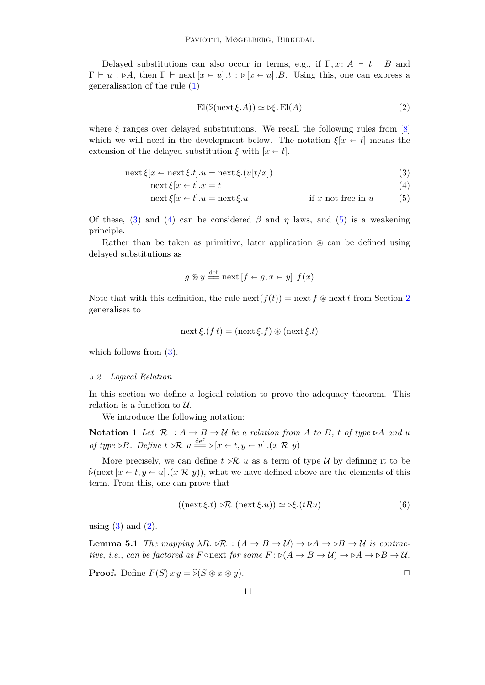Delayed substitutions can also occur in terms, e.g., if  $\Gamma, x: A \vdash t : B$  and  $\Gamma \vdash u : \triangleright A$ , then  $\Gamma \vdash \text{next}[x \leftarrow u] .t : \triangleright [x \leftarrow u] .B$ . Using this, one can express a generalisation of the rule [\(1\)](#page-2-1)

<span id="page-10-3"></span><span id="page-10-2"></span><span id="page-10-1"></span><span id="page-10-0"></span>
$$
\mathrm{El}(\widehat{\triangleright}(\mathrm{next}\,\xi.A)) \simeq \triangleright \xi.\,\mathrm{El}(A) \tag{2}
$$

where  $\xi$  ranges over delayed substitutions. We recall the following rules from [\[8\]](#page-15-4) which we will need in the development below. The notation  $\xi[x \leftarrow t]$  means the extension of the delayed substitution  $\xi$  with  $[x \leftarrow t]$ .

$$
\operatorname{next}\xi[x \leftarrow \operatorname{next}\xi.t].u = \operatorname{next}\xi.(u[t/x])\tag{3}
$$

$$
\operatorname{next}\xi[x \leftarrow t].x = t \tag{4}
$$

$$
\operatorname{next}\xi[x \leftarrow t].u = \operatorname{next}\xi.u \qquad \text{if } x \text{ not free in } u \qquad (5)
$$

Of these, [\(3\)](#page-10-0) and [\(4\)](#page-10-1) can be considered  $\beta$  and  $\eta$  laws, and [\(5\)](#page-10-2) is a weakening principle.

Rather than be taken as primitive, later application  $\otimes$  can be defined using delayed substitutions as

$$
g \circledast y \stackrel{\text{def}}{=} \text{next}[f \leftarrow g, x \leftarrow y].f(x)
$$

Note that with this definition, the rule next( $f(t)$ ) = next f  $\otimes$  next f from Section [2](#page-1-0) generalises to

$$
\operatorname{next}\xi.(f\,t)=(\operatorname{next}\xi.f)\circledast(\operatorname{next}\xi.t)
$$

which follows from  $(3)$ .

#### 5.2 Logical Relation

In this section we define a logical relation to prove the adequacy theorem. This relation is a function to  $U$ .

We introduce the following notation:

Notation 1 Let  $\mathcal{R} : A \to B \to U$  be a relation from A to B, t of type  $\triangleright A$  and u of type  $\triangleright B$ . Define  $t \triangleright \mathcal{R}$   $u \stackrel{\text{def}}{=} \triangleright [x \leftarrow t, y \leftarrow u]$ .  $(x \mathcal{R} y)$ 

More precisely, we can define  $t \triangleright \mathcal{R}$  u as a term of type U by defining it to be  $\widehat{\triangleright}$ (next  $[x \leftarrow t, y \leftarrow u]$ ).  $(x \mathcal{R} y)$ , what we have defined above are the elements of this term. From this, one can prove that

<span id="page-10-5"></span>
$$
((\operatorname{next}\xi.t) \triangleright \mathcal{R} \left( \operatorname{next}\xi.u \right)) \simeq \triangleright \xi.(tRu) \tag{6}
$$

using  $(3)$  and  $(2)$ .

<span id="page-10-4"></span>**Lemma 5.1** The mapping  $\lambda R$ .  $\triangleright \mathcal{R}$  :  $(A \rightarrow B \rightarrow \mathcal{U}) \rightarrow \triangleright A \rightarrow \triangleright B \rightarrow \mathcal{U}$  is contractive, i.e., can be factored as F  $\circ$ next for some  $F : \circ(A \to B \to \mathcal{U}) \to \circ A \to \circ B \to \mathcal{U}$ .

**Proof.** Define  $F(S)$   $xy = \widehat{\triangleright}(S \otimes x \otimes y)$ .

11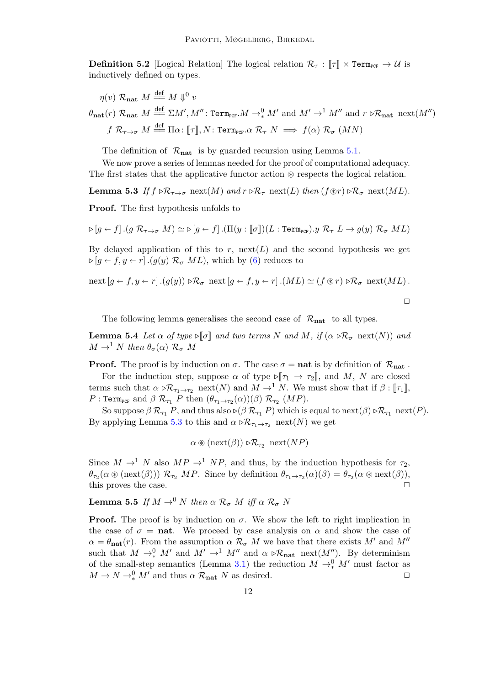**Definition 5.2** [Logical Relation] The logical relation  $\mathcal{R}_{\tau}$  :  $\llbracket \tau \rrbracket \times \text{Term}_{\text{PCF}} \rightarrow \mathcal{U}$  is inductively defined on types.

$$
\eta(v) \mathcal{R}_{\text{nat}} M \stackrel{\text{def}}{=} M \Downarrow^0 v
$$
  

$$
\theta_{\text{nat}}(r) \mathcal{R}_{\text{nat}} M \stackrel{\text{def}}{=} \Sigma M', M'' \colon \text{Term}_{\text{PCF}} M \to^0 M' \text{ and } M' \to^1 M'' \text{ and } r \triangleright \mathcal{R}_{\text{nat}} \text{ next}(M'')
$$
  

$$
f \mathcal{R}_{\tau \to \sigma} M \stackrel{\text{def}}{=} \Pi \alpha \colon [\![\tau]\!], N \colon \text{Term}_{\text{PCF}} \alpha \mathcal{R}_{\tau} N \implies f(\alpha) \mathcal{R}_{\sigma} (MN)
$$

The definition of  $\mathcal{R}_{nat}$  is by guarded recursion using Lemma [5.1.](#page-10-4)

We now prove a series of lemmas needed for the proof of computational adequacy. The first states that the applicative functor action  $\circledast$  respects the logical relation.

<span id="page-11-0"></span>**Lemma 5.3** If  $f \triangleright \mathcal{R}_{\tau \to \sigma}$  next(M) and  $r \triangleright \mathcal{R}_{\tau}$  next(L) then  $(f \circ r) \triangleright \mathcal{R}_{\sigma}$  next(ML).

Proof. The first hypothesis unfolds to

$$
\triangleright [g \leftarrow f].(g \mathcal{R}_{\tau \to \sigma} M) \simeq \triangleright [g \leftarrow f] .(\Pi(y : [\![\sigma]\!])(L : \texttt{Term}_{\texttt{PCF}}).y \mathcal{R}_{\tau} L \to g(y) \mathcal{R}_{\sigma} ML)
$$

By delayed application of this to r,  $next(L)$  and the second hypothesis we get  $\triangleright$  [g  $\leftarrow$  f, y  $\leftarrow$  r].(g(y)  $\mathcal{R}_{\sigma}$  ML), which by [\(6\)](#page-10-5) reduces to

$$
\operatorname{next}[g \leftarrow f, y \leftarrow r] \cdot (g(y)) \triangleright \mathcal{R}_{\sigma} \operatorname{next}[g \leftarrow f, y \leftarrow r] \cdot (ML) \simeq (f \circledast r) \triangleright \mathcal{R}_{\sigma} \operatorname{next}(ML).
$$

 $\Box$ 

The following lemma generalises the second case of  $\mathcal{R}_{nat}$  to all types.

<span id="page-11-1"></span>**Lemma 5.4** Let  $\alpha$  of type  $\Im \sigma$  and two terms N and M, if  $(\alpha \Im \mathcal{R}_{\sigma} \text{ next}(N))$  and  $M \to^1 N$  then  $\theta_{\sigma}(\alpha)$   $\mathcal{R}_{\sigma}$   $M$ 

**Proof.** The proof is by induction on  $\sigma$ . The case  $\sigma = \textbf{nat}$  is by definition of  $\mathcal{R}_{\textbf{nat}}$ .

For the induction step, suppose  $\alpha$  of type  $\mathbb{I}[\tau_1 \to \tau_2]$ , and M, N are closed terms such that  $\alpha \triangleright \mathcal{R}_{\tau_1 \to \tau_2}$  next(N) and  $M \to^1 N$ . We must show that if  $\beta : [\![\tau_1]\!]$ ,  $P: \texttt{Term}_{\texttt{PCF}} \text{ and } \beta \mathcal{R}_{\tau_1} \; P \text{ then } (\theta_{\tau_1 \to \tau_2}(\alpha))(\beta) \mathcal{R}_{\tau_2} \; (MP).$ 

So suppose  $\beta \mathcal{R}_{\tau_1} P$ , and thus also  $\beta(\beta \mathcal{R}_{\tau_1} P)$  which is equal to next $(\beta) \beta \mathcal{R}_{\tau_1}$  next $(P)$ . By applying Lemma [5.3](#page-11-0) to this and  $\alpha \triangleright \mathcal{R}_{\tau_1 \to \tau_2}$  next(N) we get

$$
\alpha \circledast (\mathrm{next}(\beta)) \triangleright \mathcal{R}_{\tau_2} \ \mathrm{next}(NP)
$$

Since  $M \to^1 N$  also  $MP \to^1 NP$ , and thus, by the induction hypothesis for  $\tau_2$ ,  $\theta_{\tau_2}(\alpha \otimes (\text{next}(\beta))) \mathcal{R}_{\tau_2} \; MP.$  Since by definition  $\theta_{\tau_1 \to \tau_2}(\alpha)(\beta) = \theta_{\tau_2}(\alpha \otimes \text{next}(\beta)),$ this proves the case.  $\Box$ 

<span id="page-11-2"></span>**Lemma 5.5** If  $M \to 0 \ N$  then  $\alpha$   $\mathcal{R}_{\sigma}$   $M$  iff  $\alpha$   $\mathcal{R}_{\sigma}$   $N$ 

**Proof.** The proof is by induction on  $\sigma$ . We show the left to right implication in the case of  $\sigma = \textbf{nat}$ . We proceed by case analysis on  $\alpha$  and show the case of  $\alpha = \theta_{\textbf{nat}}(r)$ . From the assumption  $\alpha \mathcal{R}_{\sigma} M$  we have that there exists M' and M'' such that  $M \to^0_* M'$  and  $M' \to^1 M''$  and  $\alpha \triangleright \mathcal{R}_{\text{nat}}$  next $(M'')$ . By determinism of the small-step semantics (Lemma [3.1\)](#page-5-2) the reduction  $M \rightarrow_*^0 M'$  must factor as  $M \to N \to_*^0 M'$  and thus  $\alpha$   $\mathcal{R}_{\text{nat}}$  N as desired.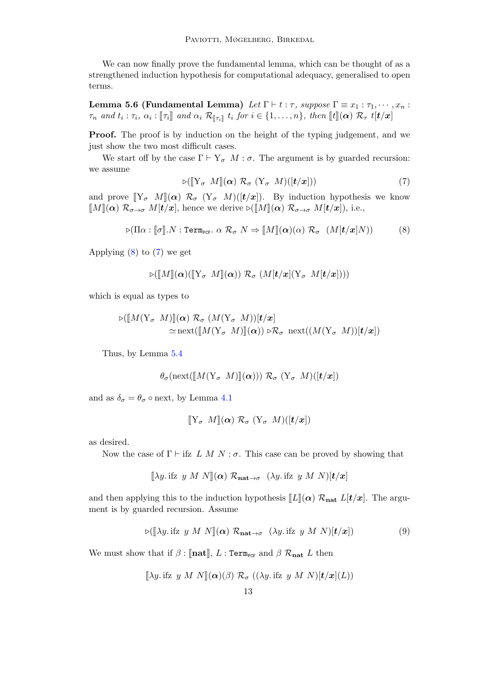We can now finally prove the fundamental lemma, which can be thought of as a strengthened induction hypothesis for computational adequacy, generalised to open terms.

<span id="page-12-0"></span>Lemma 5.6 (Fundamental Lemma) Let  $\Gamma \vdash t : \tau$ , suppose  $\Gamma \equiv x_1 : \tau_1, \cdots, x_n$ :  $\tau_n$  and  $t_i : \tau_i$ ,  $\alpha_i : \llbracket \tau_i \rrbracket$  and  $\alpha_i \mathcal{R}_{\llbracket \tau_i \rrbracket}$  t<sub>i</sub> for  $i \in \{1, \ldots, n\}$ , then  $\llbracket t \rrbracket(\boldsymbol{\alpha}) \mathcal{R}_{\tau}$  t $[t/x]$ 

Proof. The proof is by induction on the height of the typing judgement, and we just show the two most difficult cases.

<span id="page-12-2"></span>We start off by the case  $\Gamma \vdash Y_{\sigma} M : \sigma$ . The argument is by guarded recursion: we assume

<span id="page-12-1"></span>
$$
\triangleright (\llbracket Y_{\sigma} \ M \rrbracket(\pmb{\alpha}) \ \mathcal{R}_{\sigma} \ (Y_{\sigma} \ M)(\llbracket t/x \rrbracket)) \tag{7}
$$

and prove  $[\![Y_\sigma \ M]\!](\alpha) \mathcal{R}_\sigma (Y_\sigma M)([t/x])$ . By induction hypothesis we know  $\llbracket M \rrbracket(\alpha) \mathcal{R}_{\sigma \to \sigma} M[t/x],$  hence we derive  $\bowtie \llbracket M \rrbracket(\alpha) \mathcal{R}_{\sigma \to \sigma} M[t/x],$  i.e.,

$$
\triangleright (\Pi \alpha : [\![\sigma]\!].N : \text{Term}_{\text{PCF}}.\ \alpha \ \mathcal{R}_{\sigma} \ N \Rightarrow [\![M]\!](\alpha)(\alpha) \ \mathcal{R}_{\sigma} \ \ (M[\![t/x]\!])\!) \tag{8}
$$

Applying  $(8)$  to  $(7)$  we get

$$
\triangleright (\llbracket M \rrbracket(\boldsymbol{\alpha})(\llbracket Y_{\sigma} \ M \rrbracket(\boldsymbol{\alpha})) \ \mathcal{R}_{\sigma} \ (M[\boldsymbol{t}/\boldsymbol{x}](Y_{\sigma} \ M[\boldsymbol{t}/\boldsymbol{x}])))
$$

which is equal as types to

$$
\triangleright([\![M(\mathbf{Y}_{\sigma} \ M)]\!](\alpha) \ \mathcal{R}_{\sigma} \ (M(\mathbf{Y}_{\sigma} \ M))\!](t/x] \approx \text{next}([\![M(\mathbf{Y}_{\sigma} \ M)]\!](\alpha)) \triangleright \mathcal{R}_{\sigma} \ \text{next}((M(\mathbf{Y}_{\sigma} \ M))\!](t/x])
$$

Thus, by Lemma [5.4](#page-11-1)

$$
\theta_{\sigma}(\text{next}([\![M(\mathrm{Y}_{\sigma} \ M)]\!](\boldsymbol{\alpha}))) \ \mathcal{R}_{\sigma} \ (\mathrm{Y}_{\sigma} \ M)([t/x])
$$

and as  $\delta_{\sigma} = \theta_{\sigma} \circ$  next, by Lemma [4.1](#page-7-0)

$$
[\![\mathbf{Y}_{\sigma} \ M]\!](\alpha) \ \mathcal{R}_{\sigma} \ (\mathbf{Y}_{\sigma} \ M)([t/x])
$$

as desired.

Now the case of  $\Gamma \vdash$  ifz L M N :  $\sigma$ . This case can be proved by showing that

<span id="page-12-3"></span>
$$
[\![\lambda y.\, \text{ifz } y \ M \ N ]\!](\alpha) \ \mathcal{R}_{\mathbf{nat} \to \sigma} \ (\lambda y. \text{ifz } y \ M \ N )[t/x]
$$

and then applying this to the induction hypothesis  $\llbracket L \rrbracket(\alpha) \mathcal{R}_{\text{nat}} L[t/x]$ . The argument is by guarded recursion. Assume

$$
\triangleright (\llbracket \lambda y. \text{ if } y \ M \ N \rrbracket(\pmb{\alpha}) \ \mathcal{R}_{\mathbf{nat} \to \sigma} \ (\lambda y. \text{ if } y \ M \ N) [\pmb{t}/\pmb{x}] ) \tag{9}
$$

We must show that if  $\beta$  :  $\lbrack \lbrack \mathbf{n} \mathbf{at} \rbrack$ ,  $L$  : Term<sub>PCF</sub> and  $\beta$   $\mathcal{R}_{\mathbf{n} \mathbf{at}}$   $L$  then

$$
[\![\lambda y.\, \text{ifz } y \ M \ N ]\!](\alpha)(\beta) \ \mathcal{R}_\sigma \ ((\lambda y.\, \text{ifz } y \ M \ N)[\bm{t}/\bm{x}](L))
$$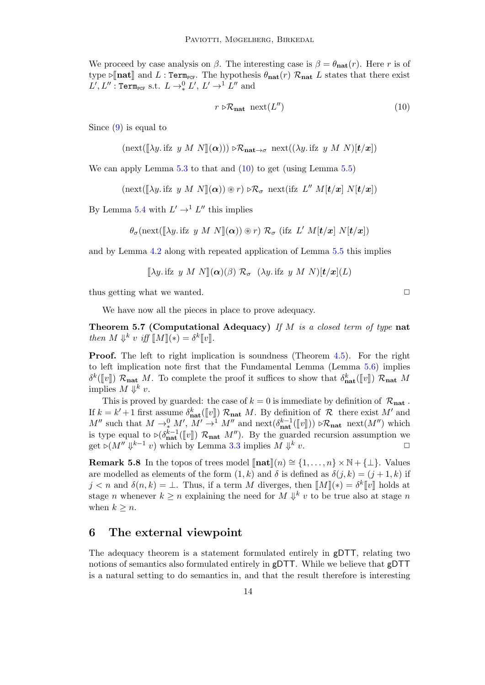We proceed by case analysis on  $\beta$ . The interesting case is  $\beta = \theta_{\text{nat}}(r)$ . Here r is of type  $\varphi$ [nat] and L : Term<sub>PCF</sub>. The hypothesis  $\theta_{\text{nat}}(r)$   $\mathcal{R}_{\text{nat}}$  L states that there exist  $L', L'' : \texttt{Term}_{\texttt{PCF}} \text{ s.t. } L \rightarrow_*^0 L', L' \rightarrow_{}^1 L'' \text{ and }$ 

<span id="page-13-2"></span>
$$
r \triangleright \mathcal{R}_{\text{nat}} \operatorname{next}(L'') \tag{10}
$$

Since [\(9\)](#page-12-3) is equal to

$$
(\mathrm{next}([\![\lambda y\!\cdot\! \mathrm{ifz}\; y\; M\; N]\!](\alpha))) \triangleright \mathcal{R}_{\mathbf{nat}\to\sigma} \; \mathrm{next}((\lambda y\! \mathrm{ifz}\; y\; M\; N)[\boldsymbol{t}/x])
$$

We can apply Lemma [5.3](#page-11-0) to that and  $(10)$  to get (using Lemma [5.5\)](#page-11-2)

$$
(\mathrm{next}([\lambda y.\,\mathrm{ifz}\,\, y\,\, M\,\, N](\alpha))\circledast r)\circ \mathcal{R}_{\sigma}\,\,\mathrm{next}(\mathrm{ifz}\,\, L''\,\, M[t/x]\,\, N[t/x])
$$

By Lemma [5.4](#page-11-1) with  $L' \rightarrow^1 L''$  this implies

$$
\theta_{\sigma}(\text{next}([\lambda y.\text{ifz } y \ M \ N](\alpha)) \circledast r) \mathcal{R}_{\sigma} (\text{ifz } L' \ M[t/x] \ N[t/x])
$$

and by Lemma [4.2](#page-8-1) along with repeated application of Lemma [5.5](#page-11-2) this implies

$$
[\![\lambda y.\, \text{ifz } y \ M \ N ]\!](\alpha)(\beta) \ \mathcal{R}_{\sigma} \ (\lambda y. \text{ifz } y \ M \ N )\!t/x](L)
$$

thus getting what we wanted.  $\Box$ 

We have now all the pieces in place to prove adequacy.

<span id="page-13-3"></span>**Theorem 5.7 (Computational Adequacy)** If  $M$  is a closed term of type nat then  $M \Downarrow^k v$  iff  $\llbracket M \rrbracket(*) = \delta^k \llbracket v \rrbracket$ .

Proof. The left to right implication is soundness (Theorem [4.5\)](#page-9-1). For the right to left implication note first that the Fundamental Lemma (Lemma [5.6\)](#page-12-0) implies  $\delta^k([\![v]\!])$   $\mathcal{R}_{\text{nat}} M$ . To complete the proof it suffices to show that  $\delta^k_{\text{nat}}([\![v]\!])$   $\mathcal{R}_{\text{nat}} M$ <br>implies  $M \overset{\text{def}}{=} k$  as implies  $M \Downarrow^k v$ .

This is proved by guarded: the case of  $k = 0$  is immediate by definition of  $\mathcal{R}_{nat}$ . If  $k = k' + 1$  first assume  $\delta_{\text{nat}}^k([\![v]\!])$   $\mathcal{R}_{\text{nat}} M$ . By definition of  $\mathcal{R}$  there exist  $M'$  and  $M''$  such that  $M \to_*^0 M'$ ,  $M' \to^1 M''$  and next $(\delta_{\text{nat}}^{k-1}([\![v]\!])) \triangleright \mathcal{R}_{\text{nat}}$  next $(M'')$  which is type equal

<span id="page-13-1"></span>Remark 5.8 In the topos of trees model  $\llbracket \textbf{nat} \rrbracket(n) \cong \{1, \ldots, n\} \times \mathbb{N} + \{\perp\}.$  Values are modelled as elements of the form  $(1, k)$  and  $\delta$  is defined as  $\delta(j, k) = (j + 1, k)$  if  $j < n$  and  $\delta(n, k) = \bot$ . Thus, if a term M diverges, then  $\llbracket M \rrbracket(*) = \delta^k \llbracket v \rrbracket$  holds at stage *n* whenever  $k \geq n$  explaining the need for  $M \Downarrow^k v$  to be true also at stage *n* when  $k \geq n$ .

### <span id="page-13-0"></span>6 The external viewpoint

The adequacy theorem is a statement formulated entirely in gDTT, relating two notions of semantics also formulated entirely in gDTT. While we believe that gDTT is a natural setting to do semantics in, and that the result therefore is interesting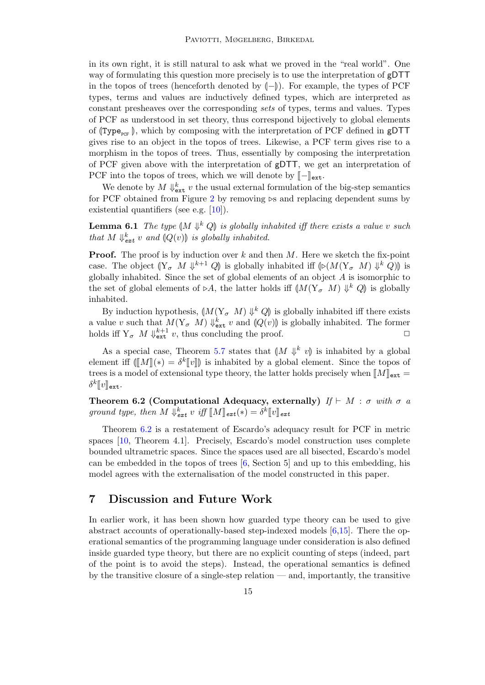in its own right, it is still natural to ask what we proved in the "real world". One way of formulating this question more precisely is to use the interpretation of gDTT in the topos of trees (henceforth denoted by  $(-)$ ). For example, the types of PCF types, terms and values are inductively defined types, which are interpreted as constant presheaves over the corresponding sets of types, terms and values. Types of PCF as understood in set theory, thus correspond bijectively to global elements of (Type<sub>pcF</sub>), which by composing with the interpretation of PCF defined in gDTT gives rise to an object in the topos of trees. Likewise, a PCF term gives rise to a morphism in the topos of trees. Thus, essentially by composing the interpretation of PCF given above with the interpretation of gDTT, we get an interpretation of PCF into the topos of trees, which we will denote by  $\llbracket - \rrbracket_{\text{ext}}$ .

We denote by  $M \Downarrow_{\texttt{ext}}^k v$  the usual external formulation of the big-step semantics for PCF obtained from Figure [2](#page-4-0) by removing  $\triangleright$ s and replacing dependent sums by existential quantifiers (see e.g. [\[10\]](#page-16-3)).

**Lemma 6.1** The type  $(M \Downarrow^k Q)$  is globally inhabited iff there exists a value v such that  $M \Downarrow^k$  as and  $O(\omega)$  is globally inhabited. that  $M \Downarrow_{ext}^k v$  and  $(Q(v))$  is globally inhabited.

**Proof.** The proof is by induction over  $k$  and then  $M$ . Here we sketch the fix-point case. The object  $(\mathbb{Y}_{\sigma} M \Downarrow^{k+1} Q)$  is globally inhabited iff  $(\triangleright (M(\mathbb{Y}_{\sigma} M) \Downarrow^{k} Q))$  is globally inhabited. Since the set of global elements of an object A is isomorphic to globally inhabited. Since the set of global elements of an object  $A$  is isomorphic to the set of global elements of  $\triangleright A$ , the latter holds iff  $(M(Y_{\sigma} M) \Downarrow^k Q)$  is globally inhabited inhabited.

By induction hypothesis,  $\left(M(Y_{\sigma} M) \Downarrow^{k} Q\right)$  is globally inhabited iff there exists<br>also a guab that  $M(Y_{\sigma} M) \Downarrow^{k}$  as and  $\left(M(\omega)\right)$  is globally inhabited. The former a value v such that  $M(Y_{\sigma} M) \Downarrow_{\text{ext}}^k v$  and  $(Q(v))$  is globally inhabited. The former holds if  $X = M \Downarrow_{\text{ext}}^{k+1} v$  thus concluding the proof holds iff  $Y_{\sigma}$   $M \Downarrow_{\text{ext}}^{k+1} v$ , thus concluding the proof.

As a special case, Theorem [5.7](#page-13-3) states that  $(M \Downarrow^k v)$  is inhabited by a global<br>part if  $\mathbb{F}(\mathbb{F}M)(v) = sk\mathbb{F}v$  is inhabited by a global element. Since the topes of element iff  $(\llbracket M \rrbracket(*) = \delta^k \llbracket v \rrbracket)$  is inhabited by a global element. Since the topos of trees is a model of extensional type theory, the latter holds precisely when  $\llbracket M \rrbracket_{\texttt{ext}} =$  $\delta^{k}[\![v]\!]_{\texttt{ext}}.$ 

<span id="page-14-1"></span>Theorem 6.2 (Computational Adequacy, externally)  $If \vdash M : \sigma$  with  $\sigma$  a ground type, then  $M \Downarrow_{ext}^k v$  iff  $[M]_{ext}(*) = \delta^k [v]_{ext}$ 

Theorem [6.2](#page-14-1) is a restatement of Escardo's adequacy result for PCF in metric spaces [\[10,](#page-16-3) Theorem 4.1]. Precisely, Escardo's model construction uses complete bounded ultrametric spaces. Since the spaces used are all bisected, Escardo's model can be embedded in the topos of trees [\[6,](#page-15-1) Section 5] and up to this embedding, his model agrees with the externalisation of the model constructed in this paper.

### <span id="page-14-0"></span>7 Discussion and Future Work

In earlier work, it has been shown how guarded type theory can be used to give abstract accounts of operationally-based step-indexed models [\[6](#page-15-1)[,15\]](#page-16-0). There the operational semantics of the programming language under consideration is also defined inside guarded type theory, but there are no explicit counting of steps (indeed, part of the point is to avoid the steps). Instead, the operational semantics is defined by the transitive closure of a single-step relation  $-$  and, importantly, the transitive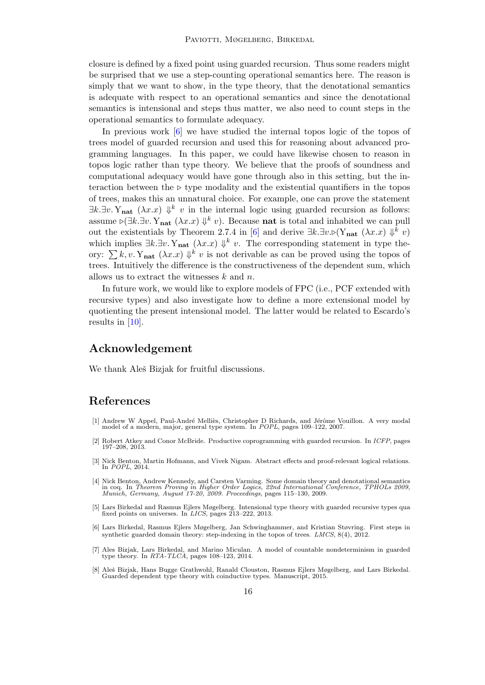closure is defined by a fixed point using guarded recursion. Thus some readers might be surprised that we use a step-counting operational semantics here. The reason is simply that we want to show, in the type theory, that the denotational semantics is adequate with respect to an operational semantics and since the denotational semantics is intensional and steps thus matter, we also need to count steps in the operational semantics to formulate adequacy.

In previous work [\[6\]](#page-15-1) we have studied the internal topos logic of the topos of trees model of guarded recursion and used this for reasoning about advanced programming languages. In this paper, we could have likewise chosen to reason in topos logic rather than type theory. We believe that the proofs of soundness and computational adequacy would have gone through also in this setting, but the interaction between the  $\triangleright$  type modality and the existential quantifiers in the topos of trees, makes this an unnatural choice. For example, one can prove the statement  $\exists k. \exists v. Y_{\text{nat}} (\lambda x.x) \Downarrow^k v$  in the internal logic using guarded recursion as follows: assume  $\triangleright (\exists k. \exists v. Y_{nat} (\lambda x. x) \Downarrow^k v)$ . Because **nat** is total and inhabited we can pull out the existentials by Theorem 2.7.4 in [\[6\]](#page-15-1) and derive  $\exists k.\exists v.\triangleright(Y_{nat} (\lambda x.x) \Downarrow^k v)$ which implies  $\exists k. \exists v. Y_{nat} (\lambda x.x) \Downarrow^k v$ . The corresponding statement in type theory:  $\sum k, v$ . Y<sub>nat</sub>  $(\lambda x.x)$   $\Downarrow^k v$  is not derivable as can be proved using the topos of trees. Intuitively the difference is the constructiveness of the dependent sum, which allows us to extract the witnesses  $k$  and  $n$ .

In future work, we would like to explore models of FPC (i.e., PCF extended with recursive types) and also investigate how to define a more extensional model by quotienting the present intensional model. The latter would be related to Escardo's results in [\[10\]](#page-16-3).

# Acknowledgement

We thank Ales<sup>S</sup> Bizjak for fruitful discussions.

### References

- <span id="page-15-0"></span>[1] Andrew W Appel, Paul-André Melliès, Christopher D Richards, and Jérôme Vouillon. A very modal model of a modern, major, general type system. In POPL, pages 109–122, 2007.
- <span id="page-15-3"></span>[2] Robert Atkey and Conor McBride. Productive coprogramming with guarded recursion. In ICFP, pages 197–208, 2013.
- <span id="page-15-7"></span>[3] Nick Benton, Martin Hofmann, and Vivek Nigam. Abstract effects and proof-relevant logical relations. In POPL, 2014.
- <span id="page-15-5"></span>[4] Nick Benton, Andrew Kennedy, and Carsten Varming. Some domain theory and denotational semantics in coq. In Theorem Proving in Higher Order Logics, 22nd International Conference, TPHOLs 2009, Munich, Germany, August 17-20, 2009. Proceedings, pages 115–130, 2009.
- <span id="page-15-6"></span>[5] Lars Birkedal and Rasmus Ejlers Møgelberg. Intensional type theory with guarded recursive types qua fixed points on universes. In LICS, pages 213–222, 2013.
- <span id="page-15-1"></span>[6] Lars Birkedal, Rasmus Ejlers Møgelberg, Jan Schwinghammer, and Kristian Støvring. First steps in synthetic guarded domain theory: step-indexing in the topos of trees. LMCS, 8(4), 2012.
- <span id="page-15-2"></span>[7] Ales Bizjak, Lars Birkedal, and Marino Miculan. A model of countable nondeterminism in guarded type theory. In RTA-TLCA, pages 108–123, 2014.
- <span id="page-15-4"></span>[8] Aleš Bizjak, Hans Bugge Grathwohl, Ranald Clouston, Rasmus Ejlers Møgelberg, and Lars Birkedal. Guarded dependent type theory with coinductive types. Manuscript, 2015.